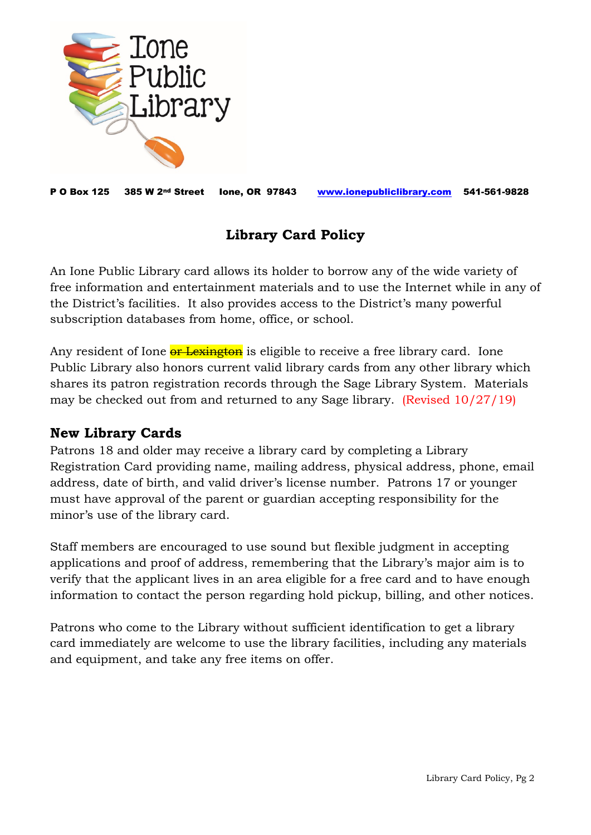

P O Box 125 385 W 2nd Street Ione, OR 97843 [www.ionepubliclibrary.com](http://www.ionepubliclibrary.com/) 541-561-9828

## **Library Card Policy**

An Ione Public Library card allows its holder to borrow any of the wide variety of free information and entertainment materials and to use the Internet while in any of the District's facilities. It also provides access to the District's many powerful subscription databases from home, office, or school.

Any resident of Ione **or Lexington** is eligible to receive a free library card. Ione Public Library also honors current valid library cards from any other library which shares its patron registration records through the Sage Library System. Materials may be checked out from and returned to any Sage library. (Revised 10/27/19)

#### **New Library Cards**

Patrons 18 and older may receive a library card by completing a Library Registration Card providing name, mailing address, physical address, phone, email address, date of birth, and valid driver's license number. Patrons 17 or younger must have approval of the parent or guardian accepting responsibility for the minor's use of the library card.

Staff members are encouraged to use sound but flexible judgment in accepting applications and proof of address, remembering that the Library's major aim is to verify that the applicant lives in an area eligible for a free card and to have enough information to contact the person regarding hold pickup, billing, and other notices.

Patrons who come to the Library without sufficient identification to get a library card immediately are welcome to use the library facilities, including any materials and equipment, and take any free items on offer.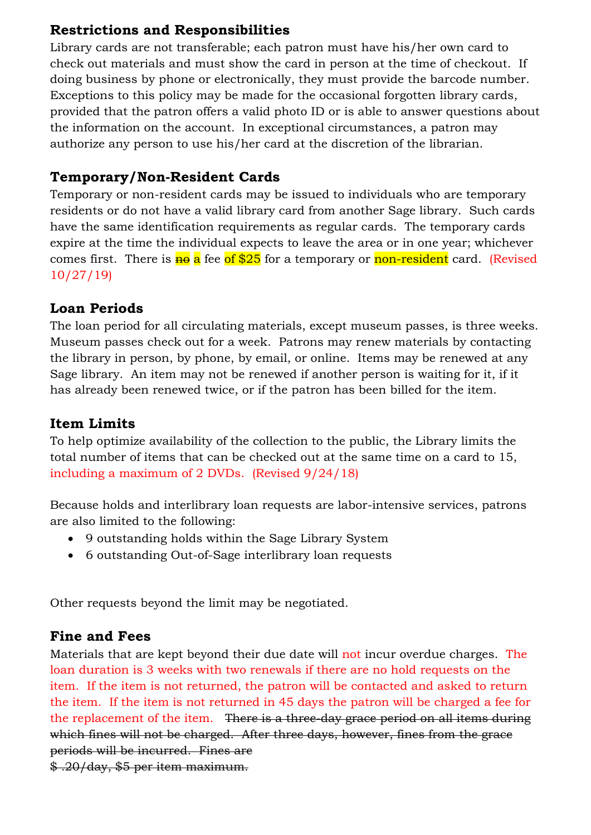# **Restrictions and Responsibilities**

Library cards are not transferable; each patron must have his/her own card to check out materials and must show the card in person at the time of checkout. If doing business by phone or electronically, they must provide the barcode number. Exceptions to this policy may be made for the occasional forgotten library cards, provided that the patron offers a valid photo ID or is able to answer questions about the information on the account. In exceptional circumstances, a patron may authorize any person to use his/her card at the discretion of the librarian.

# **Temporary/Non-Resident Cards**

Temporary or non-resident cards may be issued to individuals who are temporary residents or do not have a valid library card from another Sage library. Such cards have the same identification requirements as regular cards. The temporary cards expire at the time the individual expects to leave the area or in one year; whichever comes first. There is  $\frac{1}{10}$  a fee of \$25 for a temporary or non-resident card. (Revised 10/27/19)

### **Loan Periods**

The loan period for all circulating materials, except museum passes, is three weeks. Museum passes check out for a week. Patrons may renew materials by contacting the library in person, by phone, by email, or online. Items may be renewed at any Sage library. An item may not be renewed if another person is waiting for it, if it has already been renewed twice, or if the patron has been billed for the item.

### **Item Limits**

To help optimize availability of the collection to the public, the Library limits the total number of items that can be checked out at the same time on a card to 15, including a maximum of 2 DVDs. (Revised 9/24/18)

Because holds and interlibrary loan requests are labor-intensive services, patrons are also limited to the following:

- 9 outstanding holds within the Sage Library System
- 6 outstanding Out-of-Sage interlibrary loan requests

Other requests beyond the limit may be negotiated.

#### **Fine and Fees**

Materials that are kept beyond their due date will not incur overdue charges. The loan duration is 3 weeks with two renewals if there are no hold requests on the item. If the item is not returned, the patron will be contacted and asked to return the item. If the item is not returned in 45 days the patron will be charged a fee for the replacement of the item. There is a three-day grace period on all items during which fines will not be charged. After three days, however, fines from the grace periods will be incurred. Fines are \$ .20/day, \$5 per item maximum.